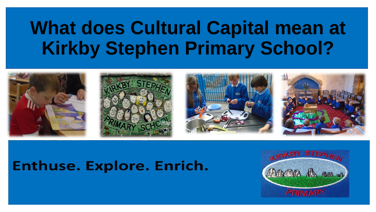## **What does Cultural Capital mean at Kirkby Stephen Primary School?**



## Enthuse. Explore. Enrich.

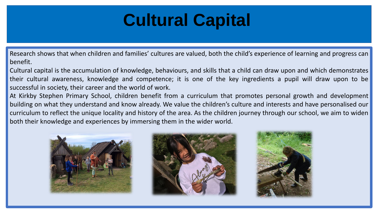## **Cultural Capital**

Research shows that when children and families' cultures are valued, both the child's experience of learning and progress can benefit.

Cultural capital is the accumulation of knowledge, behaviours, and skills that a child can draw upon and which demonstrates their cultural awareness, knowledge and competence; it is one of the key ingredients a pupil will draw upon to be successful in society, their career and the world of work.

At Kirkby Stephen Primary School, children benefit from a curriculum that promotes personal growth and development building on what they understand and know already. We value the children's culture and interests and have personalised our curriculum to reflect the unique locality and history of the area. As the children journey through our school, we aim to widen both their knowledge and experiences by immersing them in the wider world.





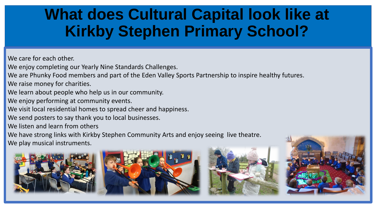## **What does Cultural Capital look like at Kirkby Stephen Primary School?**

We care for each other.

We enjoy completing our Yearly Nine Standards Challenges.

We are Phunky Food members and part of the Eden Valley Sports Partnership to inspire healthy futures. We raise money for charities.

We learn about people who help us in our community.

We enjoy performing at community events.

We visit local residential homes to spread cheer and happiness.

We send posters to say thank you to local businesses.

We listen and learn from others

We have strong links with Kirkby Stephen Community Arts and enjoy seeing live theatre. We play musical instruments.